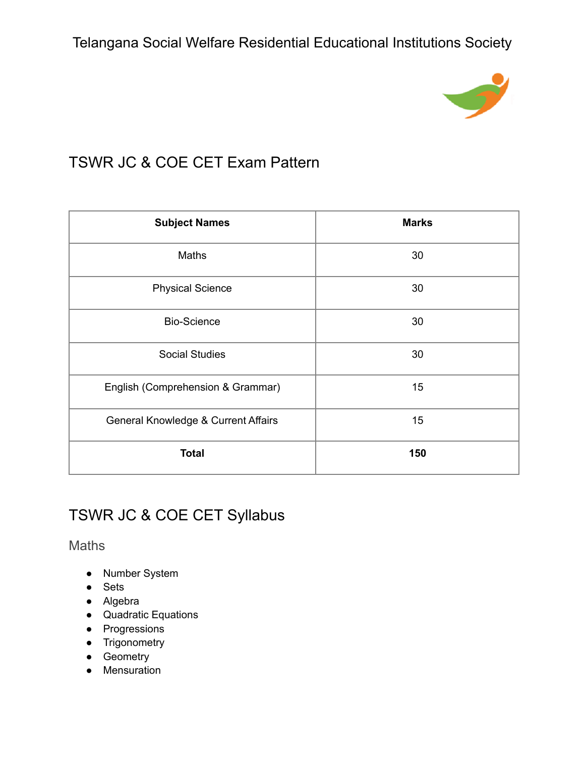

# TSWR JC & COE CET Exam Pattern

| <b>Subject Names</b>                | <b>Marks</b> |
|-------------------------------------|--------------|
| <b>Maths</b>                        | 30           |
| <b>Physical Science</b>             | 30           |
| <b>Bio-Science</b>                  | 30           |
| <b>Social Studies</b>               | 30           |
| English (Comprehension & Grammar)   | 15           |
| General Knowledge & Current Affairs | 15           |
| <b>Total</b>                        | 150          |

# TSWR JC & COE CET Syllabus

Maths

- Number System
- Sets
- Algebra
- Quadratic Equations
- Progressions
- Trigonometry
- Geometry
- Mensuration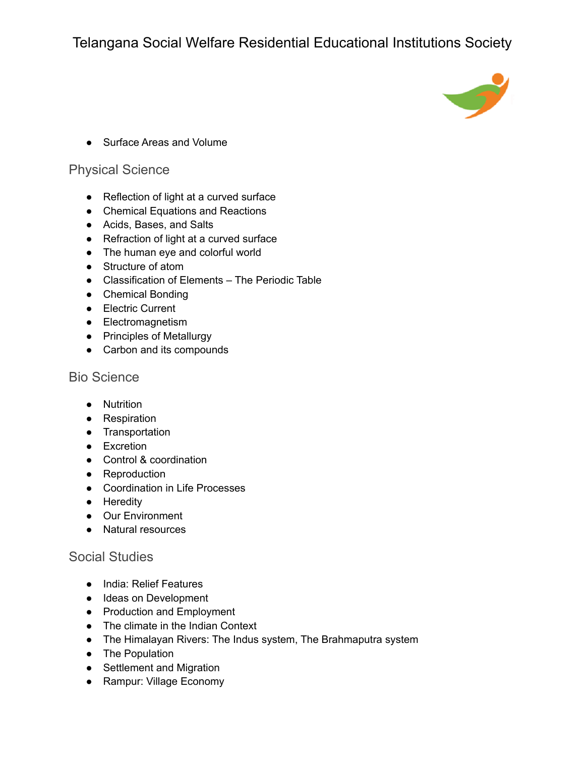

• Surface Areas and Volume

#### Physical Science

- Reflection of light at a curved surface
- Chemical Equations and Reactions
- Acids, Bases, and Salts
- Refraction of light at a curved surface
- The human eye and colorful world
- Structure of atom
- Classification of Elements The Periodic Table
- Chemical Bonding
- Electric Current
- Electromagnetism
- Principles of Metallurgy
- Carbon and its compounds

#### Bio Science

- Nutrition
- Respiration
- Transportation
- Excretion
- Control & coordination
- Reproduction
- Coordination in Life Processes
- Heredity
- Our Environment
- Natural resources

### Social Studies

- India: Relief Features
- Ideas on Development
- Production and Employment
- The climate in the Indian Context
- The Himalayan Rivers: The Indus system, The Brahmaputra system
- The Population
- Settlement and Migration
- Rampur: Village Economy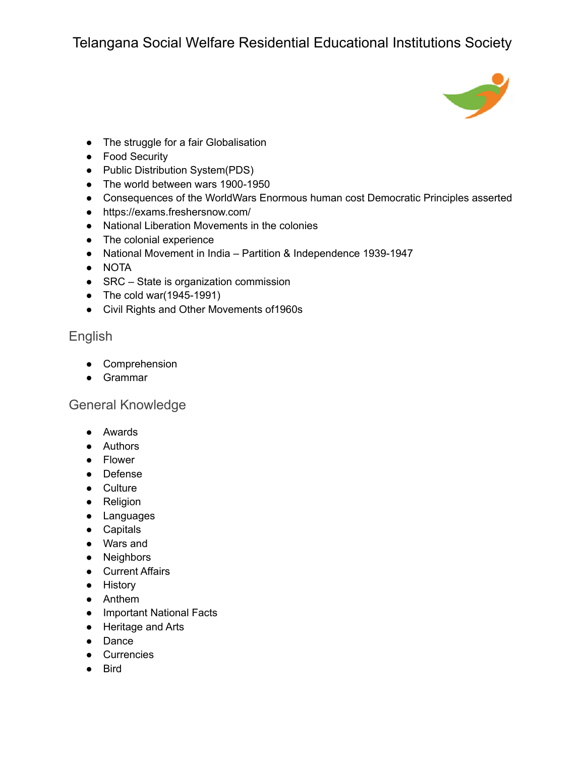

- The struggle for a fair Globalisation
- Food Security
- Public Distribution System(PDS)
- The world between wars 1900-1950
- Consequences of the WorldWars Enormous human cost Democratic Principles asserted
- <https://exams.freshersnow.com/>
- National Liberation Movements in the colonies
- The colonial experience
- National Movement in India Partition & Independence 1939-1947
- NOTA
- SRC State is organization commission
- The cold war(1945-1991)
- Civil Rights and Other Movements of1960s

### English

- Comprehension
- Grammar

### General Knowledge

- Awards
- Authors
- Flower
- Defense
- Culture
- Religion
- Languages
- Capitals
- Wars and
- Neighbors
- Current Affairs
- History
- Anthem
- Important National Facts
- Heritage and Arts
- Dance
- Currencies
- Bird